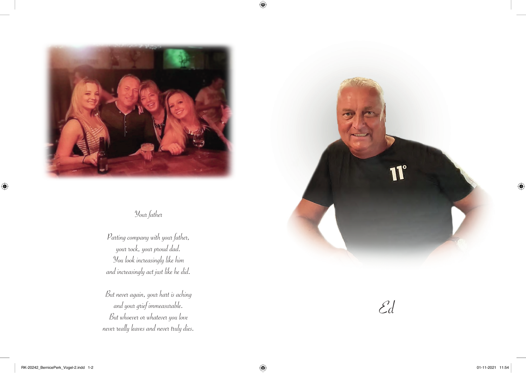

Your father

Parting company with your father, your rock, your proud dad. You look increasingly like him and increasingly act just like he did.

But never again, your hart is aching and your grief immeasurable. But whoever or whatever you love never really leaves and never truly dies.



Ed